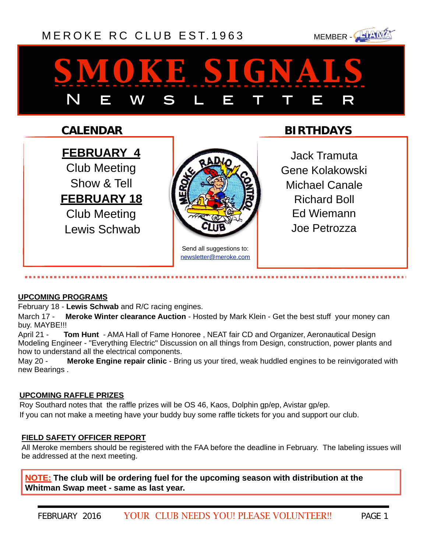### [MEROKE RC CLUB](http://www.meroke.com) EST.1963 MEMBER-



# *smoke signals* N E W S L E T T E R

#### **CALENDAR**

**FEBRUARY 4** Club Meeting Show & Tell **FEBRUARY 18** Club Meeting Lewis Schwab



Send all suggestions to: [newsletter@meroke.com](mailto:newsletter@meroke.com)

#### **BIRTHDAYS**

Jack Tramuta Gene Kolakowski Michael Canale Richard Boll Ed Wiemann Joe Petrozza

#### **UPCOMING PROGRAMS**

February 18 - **Lewis Schwab** and R/C racing engines.

March 17 - **Meroke Winter clearance Auction** - Hosted by Mark Klein - Get the best stuff your money can buy. MAYBE!!!

April 21 - **Tom Hunt** - AMA Hall of Fame Honoree , NEAT fair CD and Organizer, Aeronautical Design Modeling Engineer - "Everything Electric" Discussion on all things from Design, construction, power plants and how to understand all the electrical components.

May 20 - **Meroke Engine repair clinic** - Bring us your tired, weak huddled engines to be reinvigorated with new Bearings .

#### **UPCOMING RAFFLE PRIZES**

Roy Southard notes that the raffle prizes will be OS 46, Kaos, Dolphin gp/ep, Avistar gp/ep. If you can not make a meeting have your buddy buy some raffle tickets for you and support our club.

#### **FIELD SAFETY OFFICER REPORT**

All Meroke members should be registered with the FAA before the deadline in February. The labeling issues will be addressed at the next meeting.

**NOTE: The club will be ordering fuel for the upcoming season with distribution at the Whitman Swap meet - same as last year.**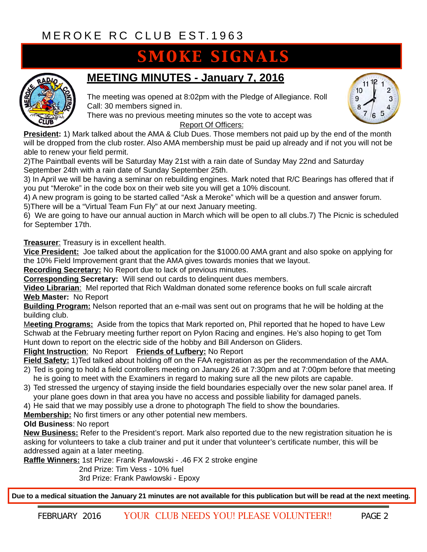## **SMOKE SIGNALS**



#### **MEETING MINUTES - January 7, 2016**

The meeting was opened at 8:02pm with the Pledge of Allegiance. Roll Call: 30 members signed in.

There was no previous meeting minutes so the vote to accept was

Report Of Officers:

**President:** 1) Mark talked about the AMA & Club Dues. Those members not paid up by the end of the month will be dropped from the club roster. Also AMA membership must be paid up already and if not you will not be able to renew your field permit.

2)The Paintball events will be Saturday May 21st with a rain date of Sunday May 22nd and Saturday September 24th with a rain date of Sunday September 25th.

3) In April we will be having a seminar on rebuilding engines. Mark noted that R/C Bearings has offered that if you put "Meroke" in the code box on their web site you will get a 10% discount.

4) A new program is going to be started called "Ask a Meroke" which will be a question and answer forum.

5)There will be a "Virtual Team Fun Fly" at our next January meeting.

6) We are going to have our annual auction in March which will be open to all clubs.7) The Picnic is scheduled for September 17th.

**Treasurer**: Treasury is in excellent health.

**Vice President:** Joe talked about the application for the \$1000.00 AMA grant and also spoke on applying for the 10% Field Improvement grant that the AMA gives towards monies that we layout.

**Recording Secretary:** No Report due to lack of previous minutes.

**Corresponding Secretary:** Will send out cards to delinquent dues members.

**Video Librarian**: Mel reported that Rich Waldman donated some reference books on full scale aircraft **Web Master:** No Report

**Building Program:** Nelson reported that an e-mail was sent out on programs that he will be holding at the building club.

M**eeting Programs:** Aside from the topics that Mark reported on, Phil reported that he hoped to have Lew Schwab at the February meeting further report on Pylon Racing and engines. He's also hoping to get Tom Hunt down to report on the electric side of the hobby and Bill Anderson on Gliders.

#### **Flight Instruction**: No Report **Friends of Lufbery:** No Report

**Field Safety:** 1)Ted talked about holding off on the FAA registration as per the recommendation of the AMA.

- 2) Ted is going to hold a field controllers meeting on January 26 at 7:30pm and at 7:00pm before that meeting he is going to meet with the Examiners in regard to making sure all the new pilots are capable.
- 3) Ted stressed the urgency of staying inside the field boundaries especially over the new solar panel area. If your plane goes down in that area you have no access and possible liability for damaged panels.

4) He said that we may possibly use a drone to photograph The field to show the boundaries.

**Membership:** No first timers or any other potential new members.

#### **Old Business**: No report

**New Business:** Refer to the President's report. Mark also reported due to the new registration situation he is asking for volunteers to take a club trainer and put it under that volunteer's certificate number, this will be addressed again at a later meeting.

**Raffle Winners:** 1st Prize: Frank Pawlowski - .46 FX 2 stroke engine

2nd Prize: Tim Vess - 10% fuel

3rd Prize: Frank Pawlowski - Epoxy

**Due to a medical situation the January 21 minutes are not available for this publication but will be read at the next meeting.**

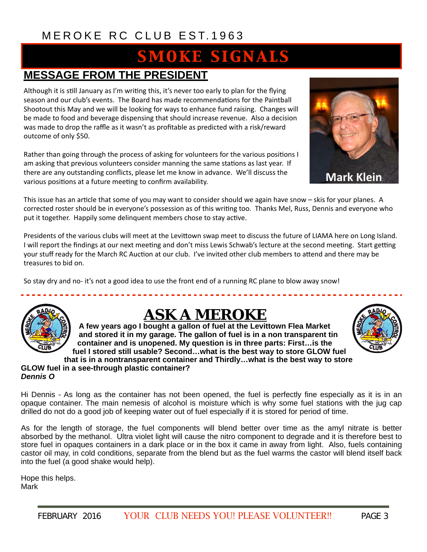## **SMOKE SIGNALS**

#### **MESSAGE FROM THE PRESIDENT**

Although it is still January as I'm writing this, it's never too early to plan for the flying season and our club's events. The Board has made recommendations for the Paintball Shootout this May and we will be looking for ways to enhance fund raising. Changes will be made to food and beverage dispensing that should increase revenue. Also a decision was made to drop the raffle as it wasn't as profitable as predicted with a risk/reward outcome of only \$50.

Rather than going through the process of asking for volunteers for the various positions I am asking that previous volunteers consider manning the same stations as last year. If there are any outstanding conflicts, please let me know in advance. We'll discuss the various positions at a future meeting to confirm availability.

This issue has an article that some of you may want to consider should we again have snow – skis for your planes. A corrected roster should be in everyone's possession as of this writing too. Thanks Mel, Russ, Dennis and everyone who put it together. Happily some delinquent members chose to stay active.

Presidents of the various clubs will meet at the Levittown swap meet to discuss the future of LIAMA here on Long Island. I will report the findings at our next meeting and don't miss Lewis Schwab's lecture at the second meeting. Start getting your stuff ready for the March RC Auction at our club. I've invited other club members to attend and there may be treasures to bid on.

So stay dry and no- it's not a good idea to use the front end of a running RC plane to blow away snow!



## *ASK A MEROKE*

**A few years ago I bought a gallon of fuel at the Levittown Flea Market and stored it in my garage. The gallon of fuel is in a non transparent tin container and is unopened. My question is in three parts: First…is the fuel I stored still usable? Second…what is the best way to store GLOW fuel that is in a nontransparent container and Thirdly…what is the best way to store** 

#### **GLOW fuel in a see-through plastic container?**  *Dennis O*

Hi Dennis - As long as the container has not been opened, the fuel is perfectly fine especially as it is in an opaque container. The main nemesis of alcohol is moisture which is why some fuel stations with the jug cap drilled do not do a good job of keeping water out of fuel especially if it is stored for period of time.

As for the length of storage, the fuel components will blend better over time as the amyl nitrate is better absorbed by the methanol. Ultra violet light will cause the nitro component to degrade and it is therefore best to store fuel in opaques containers in a dark place or in the box it came in away from light. Also, fuels containing castor oil may, in cold conditions, separate from the blend but as the fuel warms the castor will blend itself back into the fuel (a good shake would help).

Hope this helps. Mark

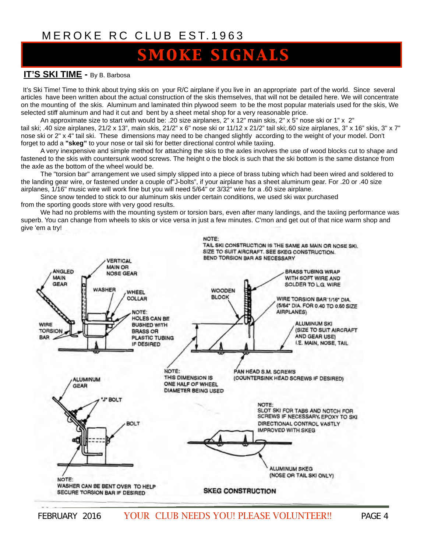## **SMOKE SIGNALS**

#### **IT'S SKI TIME - By B. Barbosa**

It's Ski Time! Time to think about trying skis on your R/C airplane if you live in an appropriate part of the world. Since several articles have been written about the actual construction of the skis themselves, that will not be detailed here. We will concentrate on the mounting of the skis. Aluminum and laminated thin plywood seem to be the most popular materials used for the skis, We selected stiff aluminum and had it cut and bent by a sheet metal shop for a very reasonable price.

An approximate size to start with would be: .20 size airplanes, 2" x 12" main skis, 2" x 5" nose ski or 1" x 2" tail ski; .40 size airplanes, 21/2 x 13", main skis, 21/2" x 6" nose ski or 11/12 x 21/2" tail ski;.60 size airplanes, 3" x 16" skis, 3" x 7" nose ski or 2" x 4" tail ski. These dimensions may need to be changed slightly according to the weight of your model. Don't forget to add a **"skeg"** to your nose or tail ski for better directional control while taxiing.

A very inexpensive and simple method for attaching the skis to the axles involves the use of wood blocks cut to shape and fastened to the skis with countersunk wood screws. The height o the block is such that the ski bottom is the same distance from the axle as the bottom of the wheel would be.

The "torsion bar" arrangement we used simply slipped into a piece of brass tubing which had been wired and soldered to the landing gear wire, or fastened under a couple of"J-bolts", if your airplane has a sheet aluminum gear. For .20 or .40 size airplanes, 1/16" music wire will work fine but you will need 5/64" or 3/32" wire for a .60 size airplane.

Since snow tended to stick to our aluminum skis under certain conditions, we used ski wax purchased from the sporting goods store with very good results.

We had no problems with the mounting system or torsion bars, even after many landings, and the taxiing performance was superb. You can change from wheels to skis or vice versa in just a few minutes. C'mon and get out of that nice warm shop and give 'em a try!

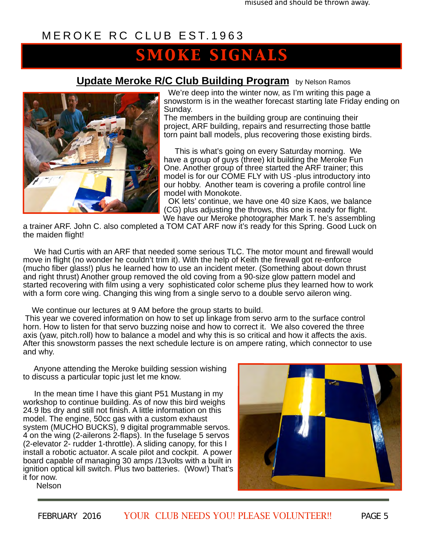## *smoke signals*

**Update Meroke R/C Club Building Program** by Nelson Ramos



 We're deep into the winter now, as I'm writing this page a snowstorm is in the weather forecast starting late Friday ending on Sunday.

The members in the building group are continuing their project, ARF building, repairs and resurrecting those battle torn paint ball models, plus recovering those existing birds.

 This is what's going on every Saturday morning. We have a group of guys (three) kit building the Meroke Fun One. Another group of three started the ARF trainer; this model is for our COME FLY with US -plus introductory into our hobby. Another team is covering a profile control line model with Monokote.

 OK lets' continue, we have one 40 size Kaos, we balance (CG) plus adjusting the throws, this one is ready for flight. We have our Meroke photographer Mark T. he's assembling

a trainer ARF. John C. also completed a TOM CAT ARF now it's ready for this Spring. Good Luck on the maiden flight!

 We had Curtis with an ARF that needed some serious TLC. The motor mount and firewall would move in flight (no wonder he couldn't trim it). With the help of Keith the firewall got re-enforce (mucho fiber glass!) plus he learned how to use an incident meter. (Something about down thrust and right thrust) Another group removed the old coving from a 90-size glow pattern model and started recovering with film using a very sophisticated color scheme plus they learned how to work with a form core wing. Changing this wing from a single servo to a double servo aileron wing.

We continue our lectures at 9 AM before the group starts to build.

 This year we covered information on how to set up linkage from servo arm to the surface control horn. How to listen for that servo buzzing noise and how to correct it. We also covered the three axis (yaw, pitch.roll) how to balance a model and why this is so critical and how it affects the axis. After this snowstorm passes the next schedule lecture is on ampere rating, which connector to use and why.

 Anyone attending the Meroke building session wishing to discuss a particular topic just let me know.

 In the mean time I have this giant P51 Mustang in my workshop to continue building. As of now this bird weighs 24.9 lbs dry and still not finish. A little information on this model. The engine, 50cc gas with a custom exhaust system (MUCHO BUCKS), 9 digital programmable servos. 4 on the wing (2-ailerons 2-flaps). In the fuselage 5 servos (2-elevator 2- rudder 1-throttle). A sliding canopy, for this I install a robotic actuator. A scale pilot and cockpit. A power board capable of managing 30 amps /13volts with a built in ignition optical kill switch. Plus two batteries. (Wow!) That's it for now. Nelson

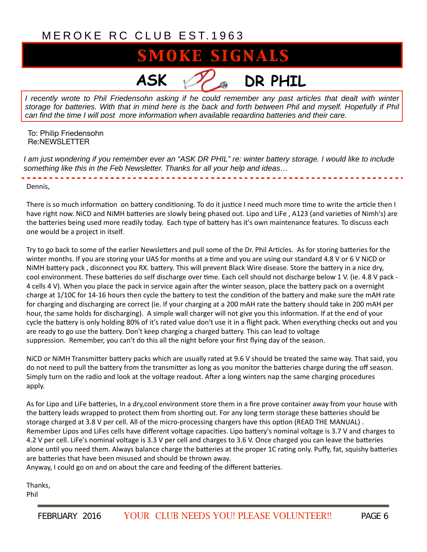## **SMOKE SIGNALS**

**ASK DR PHIL**

*I recently wrote to Phil Friedensohn asking if he could remember any past articles that dealt with winter storage for batteries. With that in mind here is the back and forth between Phil and myself. Hopefully if Phil can find the time I will post more information when available regarding batteries and their care.*

To: Philip Friedensohn Re:NEWSLETTER

*I am just wondering if you remember ever an "ASK DR PHIL" re: winter battery storage. I would like to include something like this in the Feb Newsletter. Thanks for all your help and ideas…*

Dennis, 

There is so much information on battery conditioning. To do it justice I need much more time to write the article then I have right now. NiCD and NiMH batteries are slowly being phased out. Lipo and LiFe, A123 (and varieties of Nimh's) are the batteries being used more readily today. Each type of battery has it's own maintenance features. To discuss each one would be a project in itself.

Try to go back to some of the earlier Newsletters and pull some of the Dr. Phil Articles. As for storing batteries for the winter months. If you are storing your UAS for months at a time and you are using our standard 4.8 V or 6 V NiCD or NiMH battery pack, disconnect you RX. battery. This will prevent Black Wire disease. Store the battery in a nice dry, cool environment. These batteries do self discharge over time. Each cell should not discharge below 1 V. (ie. 4.8 V pack -4 cells 4 V). When you place the pack in service again after the winter season, place the battery pack on a overnight charge at 1/10C for 14-16 hours then cycle the battery to test the condition of the battery and make sure the mAH rate for charging and discharging are correct (ie. If your charging at a 200 mAH rate the battery should take in 200 mAH per hour, the same holds for discharging). A simple wall charger will not give you this information. If at the end of your cycle the battery is only holding 80% of it's rated value don't use it in a flight pack. When everything checks out and you are ready to go use the battery. Don't keep charging a charged battery. This can lead to voltage suppression. Remember, you can't do this all the night before your first flying day of the season.

NiCD or NiMH Transmitter battery packs which are usually rated at 9.6 V should be treated the same way. That said, you do not need to pull the battery from the transmitter as long as you monitor the batteries charge during the off season. Simply turn on the radio and look at the voltage readout. After a long winters nap the same charging procedures apply. 

As for Lipo and LiFe batteries, In a dry,cool environment store them in a fire prove container away from your house with the battery leads wrapped to protect them from shorting out. For any long term storage these batteries should be storage charged at 3.8 V per cell. All of the micro-processing chargers have this option (READ THE MANUAL). Remember Lipos and LiFes cells have different voltage capacities. Lipo battery's nominal voltage is 3.7 V and charges to 4.2 V per cell. LiFe's nominal voltage is 3.3 V per cell and charges to 3.6 V. Once charged you can leave the batteries alone until you need them. Always balance charge the batteries at the proper 1C rating only. Puffy, fat, squishy batteries are batteries that have been misused and should be thrown away.

Anyway, I could go on and on about the care and feeding of the different batteries.

Thanks, Phil